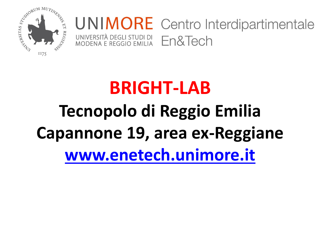

#### **UNIMORE** Centro Interdipartimentale UNIVERSITÀ DEGLI STUDI DI En&Tech MODENA E REGGIO EMILIA

# **BRIGHT-LAB Tecnopolo di Reggio Emilia Capannone 19, area ex-Reggiane [www.enetech.unimore.it](http://www.enetech.unimore.it/)**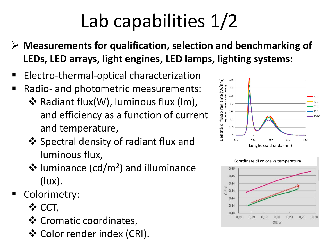# Lab capabilities 1/2

- ➢ **Measurements for qualification, selection and benchmarking of LEDs, LED arrays, light engines, LED lamps, lighting systems:**
- Electro-thermal-optical characterization
- Radio- and photometric measurements:
	- ❖ Radiant flux(W), luminous flux (lm), and efficiency as a function of current and temperature,
	- ❖ Spectral density of radiant flux and luminous flux,
	- ❖ luminance (cd/m<sup>2</sup> ) and illuminance (lux).
- Colorimetry:
	- ❖ CCT,
	- ❖ Cromatic coordinates,
	- ❖ Color render index (CRI).



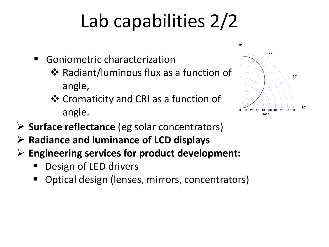## Lab capabilities 2/2

- Goniometric characterization
	- ❖ Radiant/luminous flux as a function of angle,
	- ❖ Cromaticity and CRI as a function of angle.



- ➢ **Surface reflectance** (eg solar concentrators)
- ➢ **Radiance and luminance of LCD displays**
- ➢ **Engineering services for product development:** 
	- Design of LED drivers
	- Optical design (lenses, mirrors, concentrators)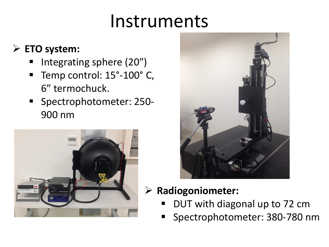## Instruments

### ➢ **ETO system:**

- Integrating sphere (20")
- Temp control: 15°-100°C, 6" termochuck.
- Spectrophotometer: 250-900 nm





### ➢ **Radiogoniometer:**

- DUT with diagonal up to 72 cm
- Spectrophotometer: 380-780 nm